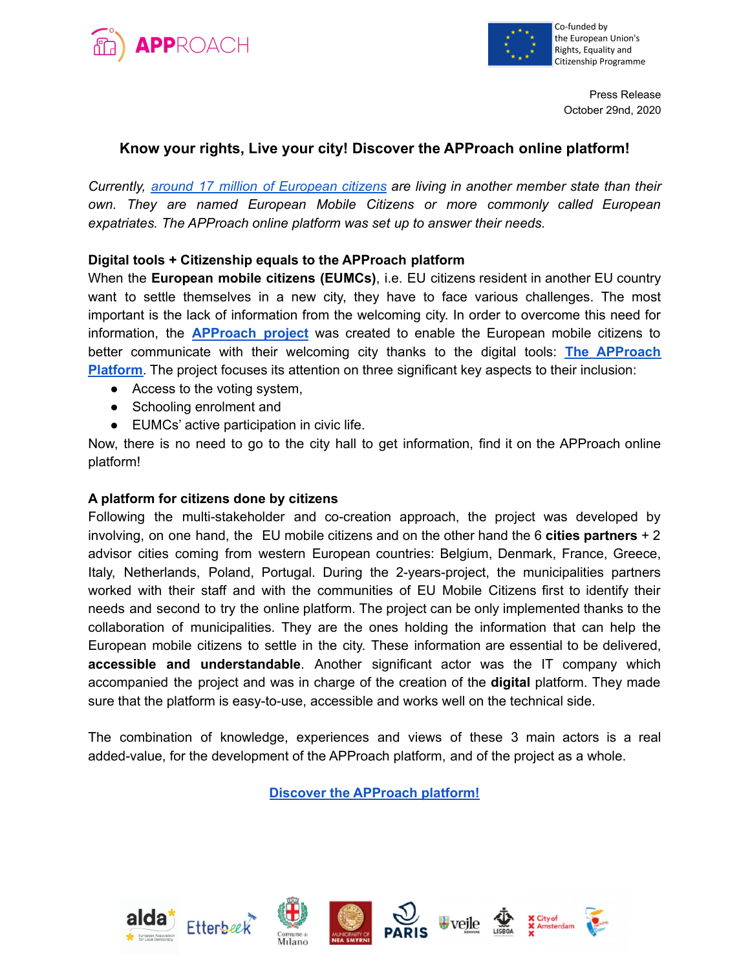



Press Release October 29nd, 2020

## **Know your rights, Live your city! Discover the APProach online platform!**

*Currently, around 17 million of [European](https://ec.europa.eu/commission/presscorner/detail/en/IP_19_1148) citizens are living in another member state than their own. They are named European Mobile Citizens or more commonly called European expatriates. The APProach online platform was set up to answer their needs.*

## **Digital tools + Citizenship equals to the APProach platform**

When the **European mobile citizens (EUMCs)**, i.e. EU citizens resident in another EU country want to settle themselves in a new city, they have to face various challenges. The most important is the lack of information from the welcoming city. In order to overcome this need for information, the **[APProach](https://www.alda-europe.eu/newSite/project_dett.php?ID=124) project** was created to enable the European mobile citizens to better communicate with their welcoming city thanks to the digital tools: **The [APProach](https://project-approach.eu/) [Platform](https://project-approach.eu/)**. The project focuses its attention on three significant key aspects to their inclusion:

- Access to the voting system,
- Schooling enrolment and
- EUMCs' active participation in civic life.

Now, there is no need to go to the city hall to get information, find it on the APProach online platform!

## **A platform for citizens done by citizens**

Following the multi-stakeholder and co-creation approach, the project was developed by involving, on one hand, the EU mobile citizens and on the other hand the 6 **cities partners** + 2 advisor cities coming from western European countries: Belgium, Denmark, France, Greece, Italy, Netherlands, Poland, Portugal. During the 2-years-project, the municipalities partners worked with their staff and with the communities of EU Mobile Citizens first to identify their needs and second to try the online platform. The project can be only implemented thanks to the collaboration of municipalities. They are the ones holding the information that can help the European mobile citizens to settle in the city. These information are essential to be delivered, **accessible and understandable**. Another significant actor was the IT company which accompanied the project and was in charge of the creation of the **digital** platform. They made sure that the platform is easy-to-use, accessible and works well on the technical side.

The combination of knowledge, experiences and views of these 3 main actors is a real added-value, for the development of the APProach platform, and of the project as a whole.

**Discover the [APProach](https://project-approach.eu/) platform!**